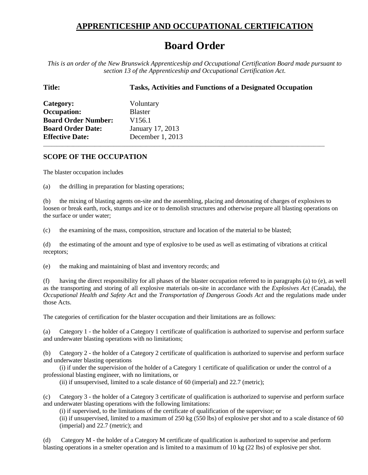## **APPRENTICESHIP AND OCCUPATIONAL CERTIFICATION**

## **Board Order**

*This is an order of the New Brunswick Apprenticeship and Occupational Certification Board made pursuant to section 13 of the Apprenticeship and Occupational Certification Act.*

**Title: Tasks, Activities and Functions of a Designated Occupation**

\_\_\_\_\_\_\_\_\_\_\_\_\_\_\_\_\_\_\_\_\_\_\_\_\_\_\_\_\_\_\_\_\_\_\_\_\_\_\_\_\_\_\_\_\_\_\_\_\_\_\_\_\_\_\_\_\_\_\_\_\_\_\_\_\_\_\_\_\_\_\_\_\_\_\_\_\_\_\_\_\_\_\_\_\_\_\_\_\_\_\_\_\_\_\_\_\_\_\_\_\_\_\_\_

**Category:** Voluntary **Occupation:** Blaster **Board Order Number:** V156.1 **Board Order Date:** January 17, 2013 **Effective Date:** December 1, 2013

## **SCOPE OF THE OCCUPATION**

The blaster occupation includes

(a) the drilling in preparation for blasting operations;

(b) the mixing of blasting agents on-site and the assembling, placing and detonating of charges of explosives to loosen or break earth, rock, stumps and ice or to demolish structures and otherwise prepare all blasting operations on the surface or under water;

(c) the examining of the mass, composition, structure and location of the material to be blasted;

(d) the estimating of the amount and type of explosive to be used as well as estimating of vibrations at critical receptors;

(e) the making and maintaining of blast and inventory records; and

(f) having the direct responsibility for all phases of the blaster occupation referred to in paragraphs (a) to (e), as well as the transporting and storing of all explosive materials on-site in accordance with the *Explosives Act* (Canada), the *Occupational Health and Safety Act* and the *Transportation of Dangerous Goods Act* and the regulations made under those Acts.

The categories of certification for the blaster occupation and their limitations are as follows:

(a) Category 1 - the holder of a Category 1 certificate of qualification is authorized to supervise and perform surface and underwater blasting operations with no limitations;

(b) Category 2 - the holder of a Category 2 certificate of qualification is authorized to supervise and perform surface and underwater blasting operations

(i) if under the supervision of the holder of a Category 1 certificate of qualification or under the control of a professional blasting engineer, with no limitations, or

(ii) if unsupervised, limited to a scale distance of 60 (imperial) and 22.7 (metric);

(c) Category 3 - the holder of a Category 3 certificate of qualification is authorized to supervise and perform surface and underwater blasting operations with the following limitations:

(i) if supervised, to the limitations of the certificate of qualification of the supervisor; or

(ii) if unsupervised, limited to a maximum of 250 kg (550 lbs) of explosive per shot and to a scale distance of 60 (imperial) and 22.7 (metric); and

(d) Category M - the holder of a Category M certificate of qualification is authorized to supervise and perform blasting operations in a smelter operation and is limited to a maximum of 10 kg (22 lbs) of explosive per shot.